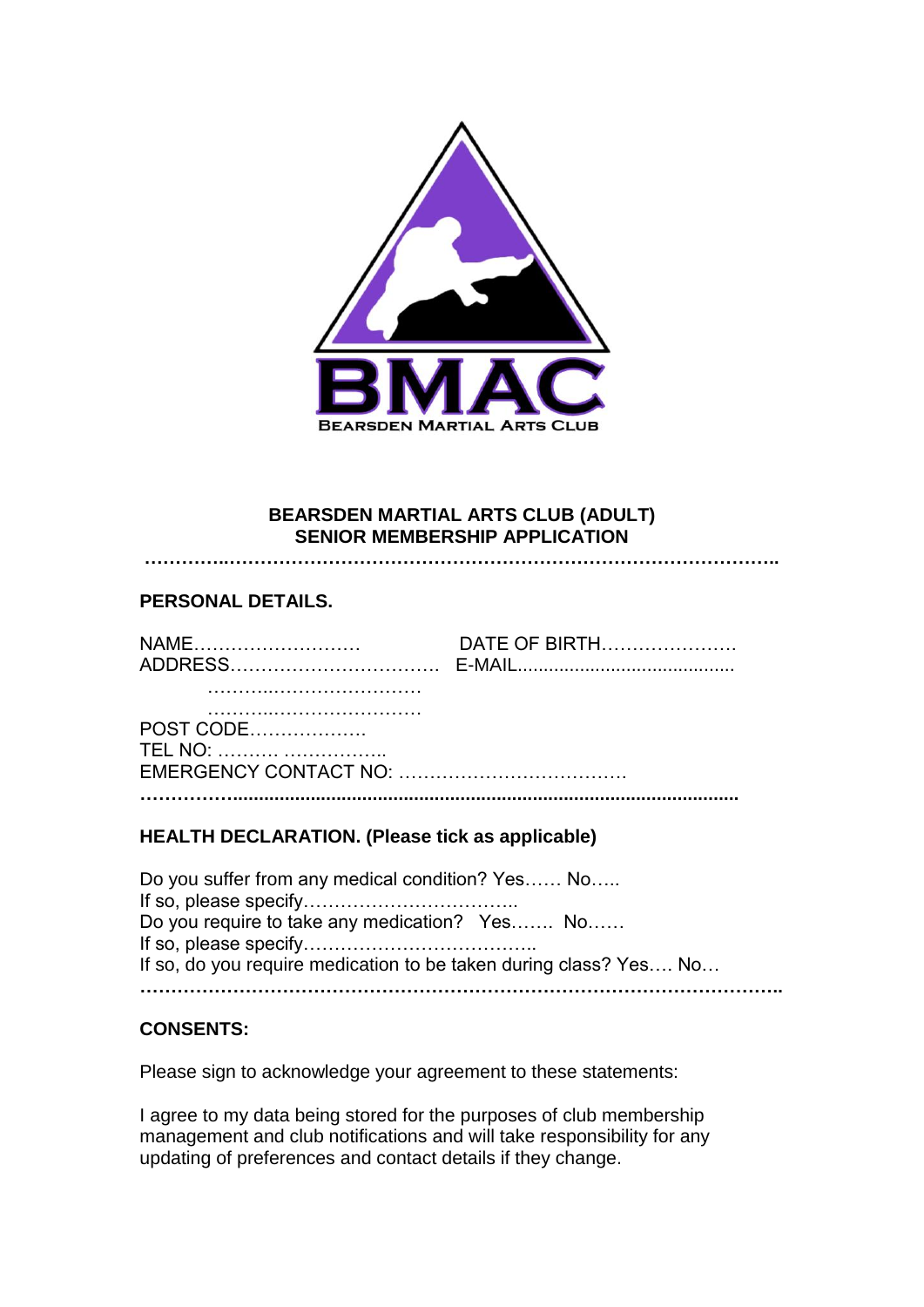

## **BEARSDEN MARTIAL ARTS CLUB (ADULT) SENIOR MEMBERSHIP APPLICATION**

**…………..……………………………………………………………………………..**

# **PERSONAL DETAILS.**

| NAM. | <b>DATE OF BIRTH</b> |
|------|----------------------|
|      |                      |
|      |                      |
|      |                      |

POST CODE………………. TEL NO: ………. …………….. EMERGENCY CONTACT NO: ………………………………. **……………..................................................................................................**

### **HEALTH DECLARATION. (Please tick as applicable)**

Do you suffer from any medical condition? Yes…… No….. If so, please specify…………………………….. Do you require to take any medication? Yes……. No…… If so, please specify……………………………….. If so, do you require medication to be taken during class? Yes…. No… **…………………………………………………………………………………………..**

## **CONSENTS:**

Please sign to acknowledge your agreement to these statements:

I agree to my data being stored for the purposes of club membership management and club notifications and will take responsibility for any updating of preferences and contact details if they change.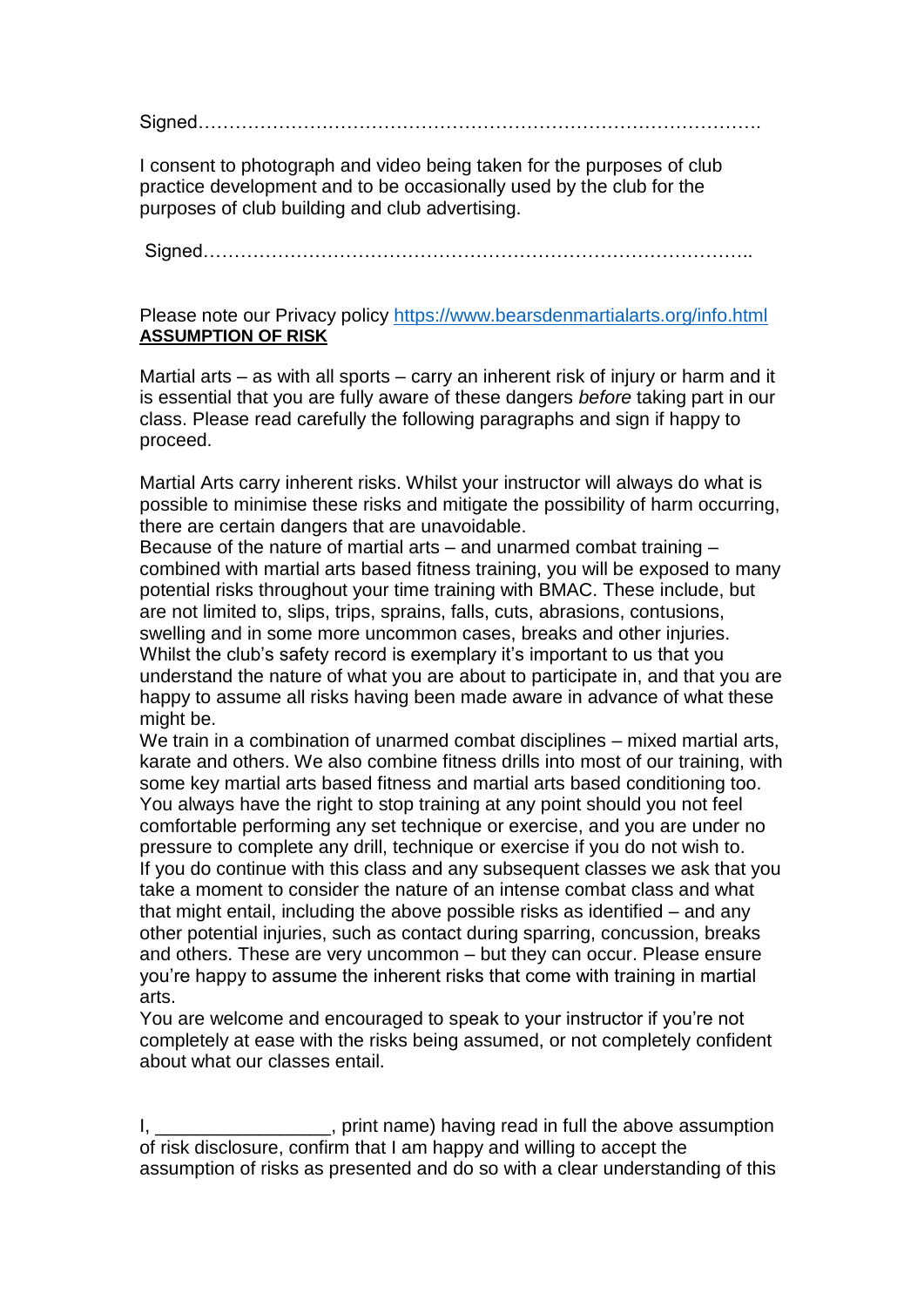Signed……………………………………………………………………………….

I consent to photograph and video being taken for the purposes of club practice development and to be occasionally used by the club for the purposes of club building and club advertising.

Signed……………………………………………………………………………..

### Please note our Privacy policy <https://www.bearsdenmartialarts.org/info.html> **ASSUMPTION OF RISK**

Martial arts – as with all sports – carry an inherent risk of injury or harm and it is essential that you are fully aware of these dangers *before* taking part in our class. Please read carefully the following paragraphs and sign if happy to proceed.

Martial Arts carry inherent risks. Whilst your instructor will always do what is possible to minimise these risks and mitigate the possibility of harm occurring, there are certain dangers that are unavoidable.

Because of the nature of martial arts – and unarmed combat training – combined with martial arts based fitness training, you will be exposed to many potential risks throughout your time training with BMAC. These include, but are not limited to, slips, trips, sprains, falls, cuts, abrasions, contusions, swelling and in some more uncommon cases, breaks and other injuries. Whilst the club's safety record is exemplary it's important to us that you understand the nature of what you are about to participate in, and that you are happy to assume all risks having been made aware in advance of what these might be.

We train in a combination of unarmed combat disciplines – mixed martial arts, karate and others. We also combine fitness drills into most of our training, with some key martial arts based fitness and martial arts based conditioning too. You always have the right to stop training at any point should you not feel comfortable performing any set technique or exercise, and you are under no pressure to complete any drill, technique or exercise if you do not wish to. If you do continue with this class and any subsequent classes we ask that you take a moment to consider the nature of an intense combat class and what that might entail, including the above possible risks as identified – and any other potential injuries, such as contact during sparring, concussion, breaks and others. These are very uncommon – but they can occur. Please ensure you're happy to assume the inherent risks that come with training in martial arts.

You are welcome and encouraged to speak to your instructor if you're not completely at ease with the risks being assumed, or not completely confident about what our classes entail.

I,  $\frac{1}{2}$  is the same of the name) having read in full the above assumption of risk disclosure, confirm that I am happy and willing to accept the assumption of risks as presented and do so with a clear understanding of this